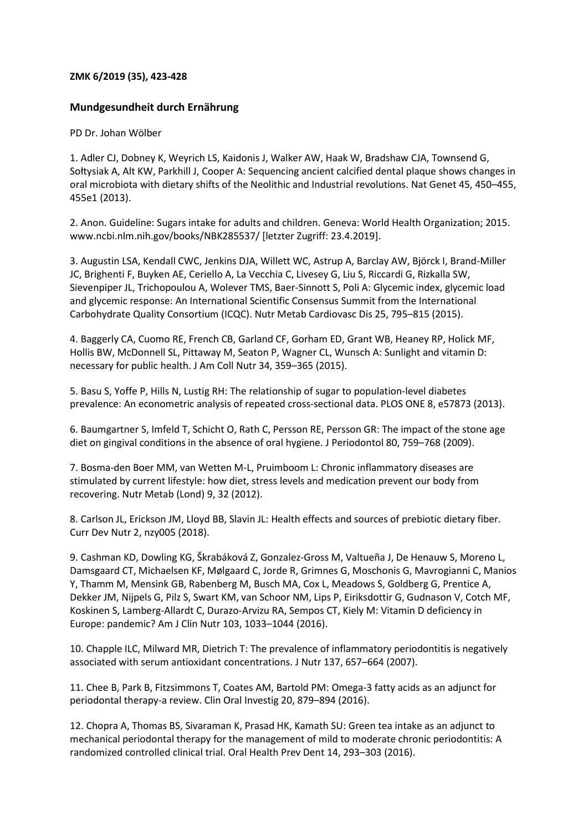## **ZMK 6/2019 (35), 423-428**

## **Mundgesundheit durch Ernährung**

## PD Dr. Johan Wölber

1. Adler CJ, Dobney K, Weyrich LS, Kaidonis J, Walker AW, Haak W, Bradshaw CJA, Townsend G, Sołtysiak A, Alt KW, Parkhill J, Cooper A: Sequencing ancient calcified dental plaque shows changes in oral microbiota with dietary shifts of the Neolithic and Industrial revolutions. Nat Genet 45, 450–455, 455e1 (2013).

2. Anon. Guideline: Sugars intake for adults and children. Geneva: World Health Organization; 2015. www.ncbi.nlm.nih.gov/books/NBK285537/ [letzter Zugriff: 23.4.2019].

3. Augustin LSA, Kendall CWC, Jenkins DJA, Willett WC, Astrup A, Barclay AW, Björck I, Brand-Miller JC, Brighenti F, Buyken AE, Ceriello A, La Vecchia C, Livesey G, Liu S, Riccardi G, Rizkalla SW, Sievenpiper JL, Trichopoulou A, Wolever TMS, Baer-Sinnott S, Poli A: Glycemic index, glycemic load and glycemic response: An International Scientific Consensus Summit from the International Carbohydrate Quality Consortium (ICQC). Nutr Metab Cardiovasc Dis 25, 795–815 (2015).

4. Baggerly CA, Cuomo RE, French CB, Garland CF, Gorham ED, Grant WB, Heaney RP, Holick MF, Hollis BW, McDonnell SL, Pittaway M, Seaton P, Wagner CL, Wunsch A: Sunlight and vitamin D: necessary for public health. J Am Coll Nutr 34, 359–365 (2015).

5. Basu S, Yoffe P, Hills N, Lustig RH: The relationship of sugar to population-level diabetes prevalence: An econometric analysis of repeated cross-sectional data. PLOS ONE 8, e57873 (2013).

6. Baumgartner S, Imfeld T, Schicht O, Rath C, Persson RE, Persson GR: The impact of the stone age diet on gingival conditions in the absence of oral hygiene. J Periodontol 80, 759–768 (2009).

7. Bosma-den Boer MM, van Wetten M-L, Pruimboom L: Chronic inflammatory diseases are stimulated by current lifestyle: how diet, stress levels and medication prevent our body from recovering. Nutr Metab (Lond) 9, 32 (2012).

8. Carlson JL, Erickson JM, Lloyd BB, Slavin JL: Health effects and sources of prebiotic dietary fiber. Curr Dev Nutr 2, nzy005 (2018).

9. Cashman KD, Dowling KG, Škrabáková Z, Gonzalez-Gross M, Valtueña J, De Henauw S, Moreno L, Damsgaard CT, Michaelsen KF, Mølgaard C, Jorde R, Grimnes G, Moschonis G, Mavrogianni C, Manios Y, Thamm M, Mensink GB, Rabenberg M, Busch MA, Cox L, Meadows S, Goldberg G, Prentice A, Dekker JM, Nijpels G, Pilz S, Swart KM, van Schoor NM, Lips P, Eiriksdottir G, Gudnason V, Cotch MF, Koskinen S, Lamberg-Allardt C, Durazo-Arvizu RA, Sempos CT, Kiely M: Vitamin D deficiency in Europe: pandemic? Am J Clin Nutr 103, 1033–1044 (2016).

10. Chapple ILC, Milward MR, Dietrich T: The prevalence of inflammatory periodontitis is negatively associated with serum antioxidant concentrations. J Nutr 137, 657–664 (2007).

11. Chee B, Park B, Fitzsimmons T, Coates AM, Bartold PM: Omega-3 fatty acids as an adjunct for periodontal therapy-a review. Clin Oral Investig 20, 879–894 (2016).

12. Chopra A, Thomas BS, Sivaraman K, Prasad HK, Kamath SU: Green tea intake as an adjunct to mechanical periodontal therapy for the management of mild to moderate chronic periodontitis: A randomized controlled clinical trial. Oral Health Prev Dent 14, 293–303 (2016).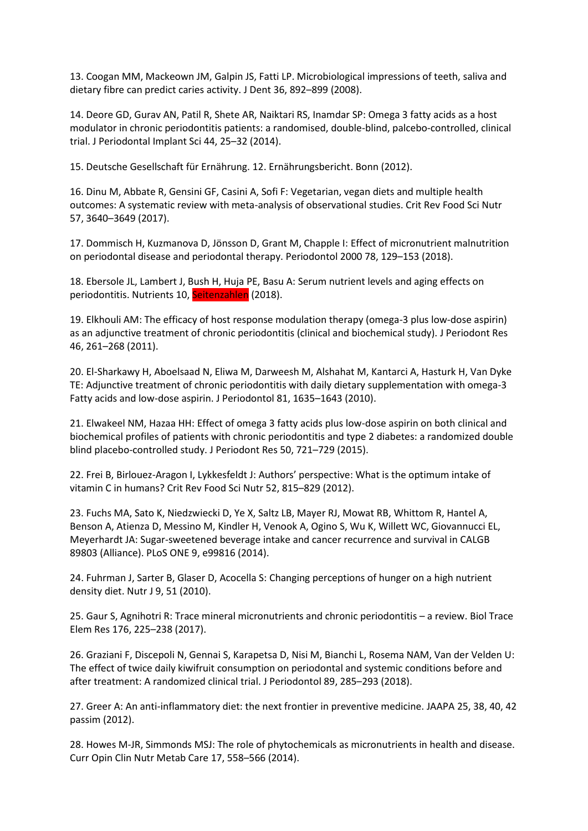13. Coogan MM, Mackeown JM, Galpin JS, Fatti LP. Microbiological impressions of teeth, saliva and dietary fibre can predict caries activity. J Dent 36, 892–899 (2008).

14. Deore GD, Gurav AN, Patil R, Shete AR, Naiktari RS, Inamdar SP: Omega 3 fatty acids as a host modulator in chronic periodontitis patients: a randomised, double-blind, palcebo-controlled, clinical trial. J Periodontal Implant Sci 44, 25–32 (2014).

15. Deutsche Gesellschaft für Ernährung. 12. Ernährungsbericht. Bonn (2012).

16. Dinu M, Abbate R, Gensini GF, Casini A, Sofi F: Vegetarian, vegan diets and multiple health outcomes: A systematic review with meta-analysis of observational studies. Crit Rev Food Sci Nutr 57, 3640–3649 (2017).

17. Dommisch H, Kuzmanova D, Jönsson D, Grant M, Chapple I: Effect of micronutrient malnutrition on periodontal disease and periodontal therapy. Periodontol 2000 78, 129–153 (2018).

18. Ebersole JL, Lambert J, Bush H, Huja PE, Basu A: Serum nutrient levels and aging effects on periodontitis. Nutrients 10, Seitenzahlen (2018).

19. Elkhouli AM: The efficacy of host response modulation therapy (omega-3 plus low-dose aspirin) as an adjunctive treatment of chronic periodontitis (clinical and biochemical study). J Periodont Res 46, 261–268 (2011).

20. El-Sharkawy H, Aboelsaad N, Eliwa M, Darweesh M, Alshahat M, Kantarci A, Hasturk H, Van Dyke TE: Adjunctive treatment of chronic periodontitis with daily dietary supplementation with omega-3 Fatty acids and low-dose aspirin. J Periodontol 81, 1635–1643 (2010).

21. Elwakeel NM, Hazaa HH: Effect of omega 3 fatty acids plus low-dose aspirin on both clinical and biochemical profiles of patients with chronic periodontitis and type 2 diabetes: a randomized double blind placebo-controlled study. J Periodont Res 50, 721–729 (2015).

22. Frei B, Birlouez-Aragon I, Lykkesfeldt J: Authors' perspective: What is the optimum intake of vitamin C in humans? Crit Rev Food Sci Nutr 52, 815–829 (2012).

23. Fuchs MA, Sato K, Niedzwiecki D, Ye X, Saltz LB, Mayer RJ, Mowat RB, Whittom R, Hantel A, Benson A, Atienza D, Messino M, Kindler H, Venook A, Ogino S, Wu K, Willett WC, Giovannucci EL, Meyerhardt JA: Sugar-sweetened beverage intake and cancer recurrence and survival in CALGB 89803 (Alliance). PLoS ONE 9, e99816 (2014).

24. Fuhrman J, Sarter B, Glaser D, Acocella S: Changing perceptions of hunger on a high nutrient density diet. Nutr J 9, 51 (2010).

25. Gaur S, Agnihotri R: Trace mineral micronutrients and chronic periodontitis – a review. Biol Trace Elem Res 176, 225–238 (2017).

26. Graziani F, Discepoli N, Gennai S, Karapetsa D, Nisi M, Bianchi L, Rosema NAM, Van der Velden U: The effect of twice daily kiwifruit consumption on periodontal and systemic conditions before and after treatment: A randomized clinical trial. J Periodontol 89, 285–293 (2018).

27. Greer A: An anti-inflammatory diet: the next frontier in preventive medicine. JAAPA 25, 38, 40, 42 passim (2012).

28. Howes M-JR, Simmonds MSJ: The role of phytochemicals as micronutrients in health and disease. Curr Opin Clin Nutr Metab Care 17, 558–566 (2014).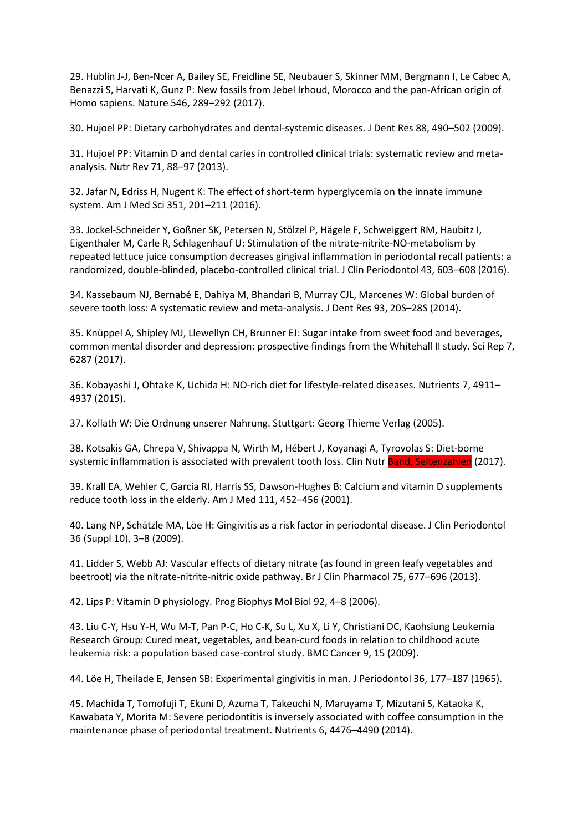29. Hublin J-J, Ben-Ncer A, Bailey SE, Freidline SE, Neubauer S, Skinner MM, Bergmann I, Le Cabec A, Benazzi S, Harvati K, Gunz P: New fossils from Jebel Irhoud, Morocco and the pan-African origin of Homo sapiens. Nature 546, 289–292 (2017).

30. Hujoel PP: Dietary carbohydrates and dental-systemic diseases. J Dent Res 88, 490–502 (2009).

31. Hujoel PP: Vitamin D and dental caries in controlled clinical trials: systematic review and metaanalysis. Nutr Rev 71, 88–97 (2013).

32. Jafar N, Edriss H, Nugent K: The effect of short-term hyperglycemia on the innate immune system. Am J Med Sci 351, 201–211 (2016).

33. Jockel-Schneider Y, Goßner SK, Petersen N, Stölzel P, Hägele F, Schweiggert RM, Haubitz I, Eigenthaler M, Carle R, Schlagenhauf U: Stimulation of the nitrate-nitrite-NO-metabolism by repeated lettuce juice consumption decreases gingival inflammation in periodontal recall patients: a randomized, double-blinded, placebo-controlled clinical trial. J Clin Periodontol 43, 603–608 (2016).

34. Kassebaum NJ, Bernabé E, Dahiya M, Bhandari B, Murray CJL, Marcenes W: Global burden of severe tooth loss: A systematic review and meta-analysis. J Dent Res 93, 20S–28S (2014).

35. Knüppel A, Shipley MJ, Llewellyn CH, Brunner EJ: Sugar intake from sweet food and beverages, common mental disorder and depression: prospective findings from the Whitehall II study. Sci Rep 7, 6287 (2017).

36. Kobayashi J, Ohtake K, Uchida H: NO-rich diet for lifestyle-related diseases. Nutrients 7, 4911– 4937 (2015).

37. Kollath W: Die Ordnung unserer Nahrung. Stuttgart: Georg Thieme Verlag (2005).

38. Kotsakis GA, Chrepa V, Shivappa N, Wirth M, Hébert J, Koyanagi A, Tyrovolas S: Diet-borne systemic inflammation is associated with prevalent tooth loss. Clin Nutr Band, Seitenzahlen (2017).

39. Krall EA, Wehler C, Garcia RI, Harris SS, Dawson-Hughes B: Calcium and vitamin D supplements reduce tooth loss in the elderly. Am J Med 111, 452–456 (2001).

40. Lang NP, Schätzle MA, Löe H: Gingivitis as a risk factor in periodontal disease. J Clin Periodontol 36 (Suppl 10), 3–8 (2009).

41. Lidder S, Webb AJ: Vascular effects of dietary nitrate (as found in green leafy vegetables and beetroot) via the nitrate-nitrite-nitric oxide pathway. Br J Clin Pharmacol 75, 677–696 (2013).

42. Lips P: Vitamin D physiology. Prog Biophys Mol Biol 92, 4–8 (2006).

43. Liu C-Y, Hsu Y-H, Wu M-T, Pan P-C, Ho C-K, Su L, Xu X, Li Y, Christiani DC, Kaohsiung Leukemia Research Group: Cured meat, vegetables, and bean-curd foods in relation to childhood acute leukemia risk: a population based case-control study. BMC Cancer 9, 15 (2009).

44. Löe H, Theilade E, Jensen SB: Experimental gingivitis in man. J Periodontol 36, 177–187 (1965).

45. Machida T, Tomofuji T, Ekuni D, Azuma T, Takeuchi N, Maruyama T, Mizutani S, Kataoka K, Kawabata Y, Morita M: Severe periodontitis is inversely associated with coffee consumption in the maintenance phase of periodontal treatment. Nutrients 6, 4476–4490 (2014).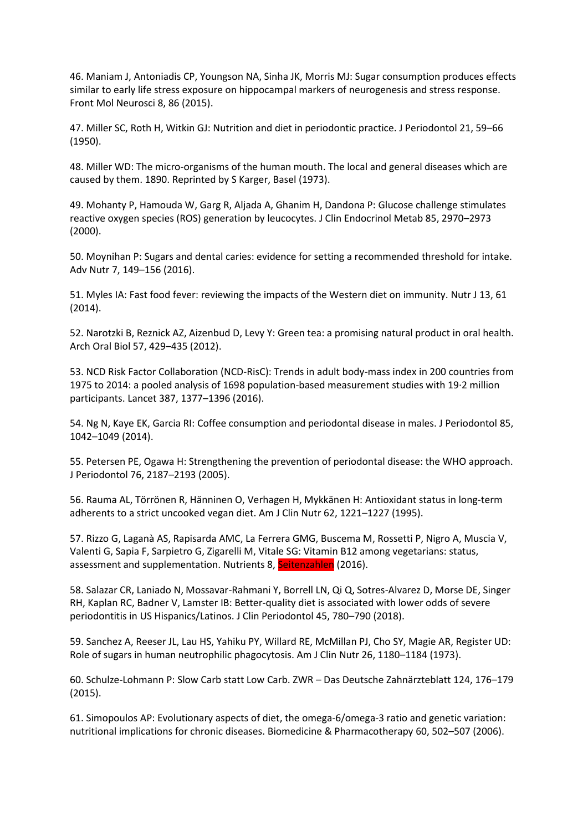46. Maniam J, Antoniadis CP, Youngson NA, Sinha JK, Morris MJ: Sugar consumption produces effects similar to early life stress exposure on hippocampal markers of neurogenesis and stress response. Front Mol Neurosci 8, 86 (2015).

47. Miller SC, Roth H, Witkin GJ: Nutrition and diet in periodontic practice. J Periodontol 21, 59–66 (1950).

48. Miller WD: The micro-organisms of the human mouth. The local and general diseases which are caused by them. 1890. Reprinted by S Karger, Basel (1973).

49. Mohanty P, Hamouda W, Garg R, Aljada A, Ghanim H, Dandona P: Glucose challenge stimulates reactive oxygen species (ROS) generation by leucocytes. J Clin Endocrinol Metab 85, 2970–2973 (2000).

50. Moynihan P: Sugars and dental caries: evidence for setting a recommended threshold for intake. Adv Nutr 7, 149–156 (2016).

51. Myles IA: Fast food fever: reviewing the impacts of the Western diet on immunity. Nutr J 13, 61 (2014).

52. Narotzki B, Reznick AZ, Aizenbud D, Levy Y: Green tea: a promising natural product in oral health. Arch Oral Biol 57, 429–435 (2012).

53. NCD Risk Factor Collaboration (NCD-RisC): Trends in adult body-mass index in 200 countries from 1975 to 2014: a pooled analysis of 1698 population-based measurement studies with 19·2 million participants. Lancet 387, 1377–1396 (2016).

54. Ng N, Kaye EK, Garcia RI: Coffee consumption and periodontal disease in males. J Periodontol 85, 1042–1049 (2014).

55. Petersen PE, Ogawa H: Strengthening the prevention of periodontal disease: the WHO approach. J Periodontol 76, 2187–2193 (2005).

56. Rauma AL, Törrönen R, Hänninen O, Verhagen H, Mykkänen H: Antioxidant status in long-term adherents to a strict uncooked vegan diet. Am J Clin Nutr 62, 1221–1227 (1995).

57. Rizzo G, Laganà AS, Rapisarda AMC, La Ferrera GMG, Buscema M, Rossetti P, Nigro A, Muscia V, Valenti G, Sapia F, Sarpietro G, Zigarelli M, Vitale SG: Vitamin B12 among vegetarians: status, assessment and supplementation. Nutrients 8, Seitenzahlen (2016).

58. Salazar CR, Laniado N, Mossavar-Rahmani Y, Borrell LN, Qi Q, Sotres-Alvarez D, Morse DE, Singer RH, Kaplan RC, Badner V, Lamster IB: Better-quality diet is associated with lower odds of severe periodontitis in US Hispanics/Latinos. J Clin Periodontol 45, 780–790 (2018).

59. Sanchez A, Reeser JL, Lau HS, Yahiku PY, Willard RE, McMillan PJ, Cho SY, Magie AR, Register UD: Role of sugars in human neutrophilic phagocytosis. Am J Clin Nutr 26, 1180–1184 (1973).

60. Schulze-Lohmann P: Slow Carb statt Low Carb. ZWR – Das Deutsche Zahnärzteblatt 124, 176–179 (2015).

61. Simopoulos AP: Evolutionary aspects of diet, the omega-6/omega-3 ratio and genetic variation: nutritional implications for chronic diseases. Biomedicine & Pharmacotherapy 60, 502–507 (2006).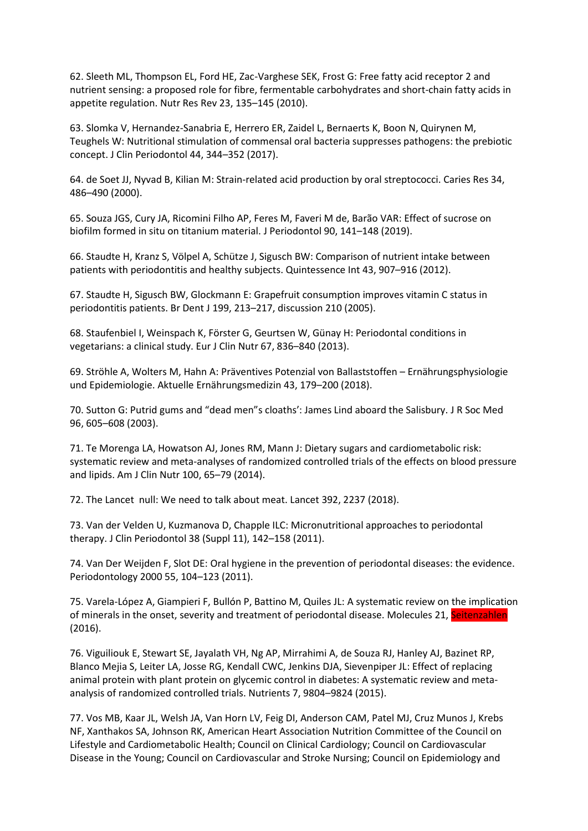62. Sleeth ML, Thompson EL, Ford HE, Zac-Varghese SEK, Frost G: Free fatty acid receptor 2 and nutrient sensing: a proposed role for fibre, fermentable carbohydrates and short-chain fatty acids in appetite regulation. Nutr Res Rev 23, 135–145 (2010).

63. Slomka V, Hernandez-Sanabria E, Herrero ER, Zaidel L, Bernaerts K, Boon N, Quirynen M, Teughels W: Nutritional stimulation of commensal oral bacteria suppresses pathogens: the prebiotic concept. J Clin Periodontol 44, 344–352 (2017).

64. de Soet JJ, Nyvad B, Kilian M: Strain-related acid production by oral streptococci. Caries Res 34, 486–490 (2000).

65. Souza JGS, Cury JA, Ricomini Filho AP, Feres M, Faveri M de, Barão VAR: Effect of sucrose on biofilm formed in situ on titanium material. J Periodontol 90, 141–148 (2019).

66. Staudte H, Kranz S, Völpel A, Schütze J, Sigusch BW: Comparison of nutrient intake between patients with periodontitis and healthy subjects. Quintessence Int 43, 907–916 (2012).

67. Staudte H, Sigusch BW, Glockmann E: Grapefruit consumption improves vitamin C status in periodontitis patients. Br Dent J 199, 213–217, discussion 210 (2005).

68. Staufenbiel I, Weinspach K, Förster G, Geurtsen W, Günay H: Periodontal conditions in vegetarians: a clinical study. Eur J Clin Nutr 67, 836–840 (2013).

69. Ströhle A, Wolters M, Hahn A: Präventives Potenzial von Ballaststoffen – Ernährungsphysiologie und Epidemiologie. Aktuelle Ernährungsmedizin 43, 179–200 (2018).

70. Sutton G: Putrid gums and "dead men"s cloaths': James Lind aboard the Salisbury. J R Soc Med 96, 605–608 (2003).

71. Te Morenga LA, Howatson AJ, Jones RM, Mann J: Dietary sugars and cardiometabolic risk: systematic review and meta-analyses of randomized controlled trials of the effects on blood pressure and lipids. Am J Clin Nutr 100, 65–79 (2014).

72. The Lancet null: We need to talk about meat. Lancet 392, 2237 (2018).

73. Van der Velden U, Kuzmanova D, Chapple ILC: Micronutritional approaches to periodontal therapy. J Clin Periodontol 38 (Suppl 11), 142–158 (2011).

74. Van Der Weijden F, Slot DE: Oral hygiene in the prevention of periodontal diseases: the evidence. Periodontology 2000 55, 104–123 (2011).

75. Varela-López A, Giampieri F, Bullón P, Battino M, Quiles JL: A systematic review on the implication of minerals in the onset, severity and treatment of periodontal disease. Molecules 21, Seitenzahlen (2016).

76. Viguiliouk E, Stewart SE, Jayalath VH, Ng AP, Mirrahimi A, de Souza RJ, Hanley AJ, Bazinet RP, Blanco Mejia S, Leiter LA, Josse RG, Kendall CWC, Jenkins DJA, Sievenpiper JL: Effect of replacing animal protein with plant protein on glycemic control in diabetes: A systematic review and metaanalysis of randomized controlled trials. Nutrients 7, 9804–9824 (2015).

77. Vos MB, Kaar JL, Welsh JA, Van Horn LV, Feig DI, Anderson CAM, Patel MJ, Cruz Munos J, Krebs NF, Xanthakos SA, Johnson RK, American Heart Association Nutrition Committee of the Council on Lifestyle and Cardiometabolic Health; Council on Clinical Cardiology; Council on Cardiovascular Disease in the Young; Council on Cardiovascular and Stroke Nursing; Council on Epidemiology and